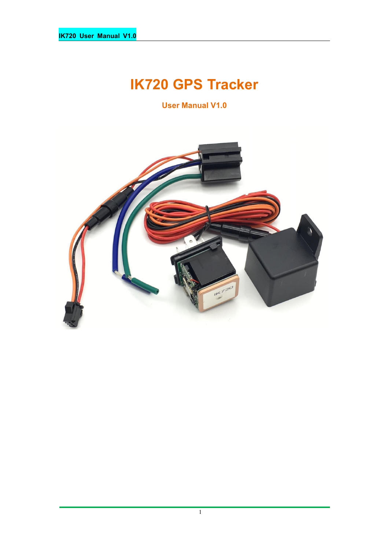# **IK720 GPS Tracker**

**User Manual V1.0**

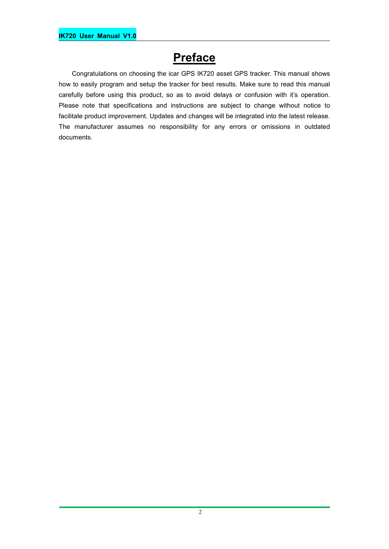## **Preface**

Congratulations on choosing the icar GPS IK720 asset GPS tracker. This manual shows how to easily program and setup the tracker for best results. Make sure to read this manual carefully before using this product, so as to avoid delays or confusion with it's operation. Please note that specifications and instructions are subject to change without notice to facilitate product improvement. Updates and changes will be integrated into the latest release. The manufacturer assumes no responsibility for any errors or omissions in outdated documents.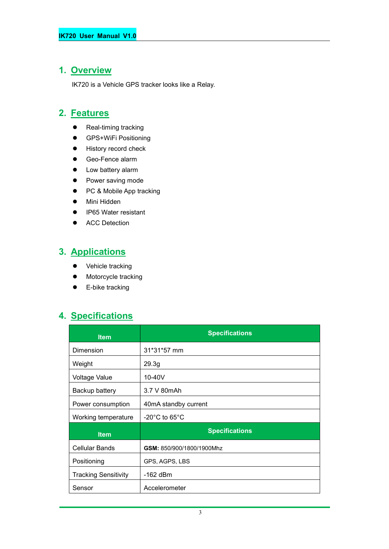## **1. Overview**

IK720 is a Vehicle GPS tracker looks like a Relay.

#### **2. Features**

- Real-timing tracking
- **•** GPS+WiFi Positioning
- **•** History record check
- Geo-Fence alarm
- Low battery alarm
- Power saving mode
- PC & Mobile App tracking
- Mini Hidden
- IP65 Water resistant
- **•** ACC Detection

#### **3. Applications**

- Vehicle tracking
- Motorcycle tracking
- E-bike tracking

#### **4. Specifications**

| <b>Item</b>                 | <b>Specifications</b>              |  |
|-----------------------------|------------------------------------|--|
| Dimension                   | 31*31*57 mm                        |  |
| Weight                      | 29.3 <sub>g</sub>                  |  |
| <b>Voltage Value</b>        | $10-40V$                           |  |
| Backup battery              | 3.7 V 80mAh                        |  |
| Power consumption           | 40mA standby current               |  |
| Working temperature         | $-20^{\circ}$ C to 65 $^{\circ}$ C |  |
| <b>Item</b>                 | <b>Specifications</b>              |  |
| <b>Cellular Bands</b>       | GSM: 850/900/1800/1900Mhz          |  |
| Positioning                 | GPS, AGPS, LBS                     |  |
| <b>Tracking Sensitivity</b> | $-162$ dBm                         |  |
| Sensor                      | Accelerometer                      |  |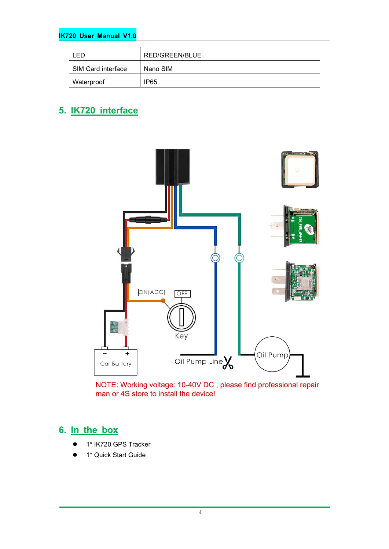#### **IK720 User Manual V1.0**

| ED                 | RED/GREEN/BLUE |
|--------------------|----------------|
| SIM Card interface | Nano SIM       |
| Waterproof         | IP65           |

#### **5. IK720 interface**



NOTE: Working voltage: 10-40V DC, please find professional repair man or 4S store to install the device!

#### **6. In the box**

- 1\* IK720 GPS Tracker
- 1\* Quick Start Guide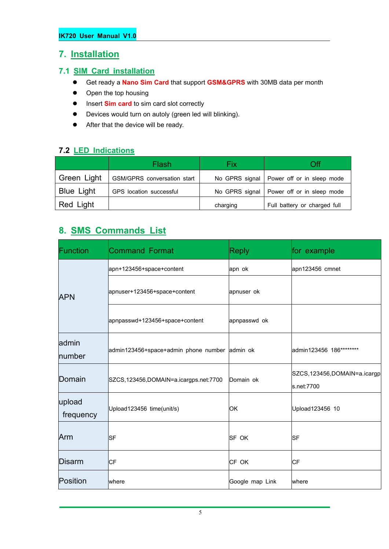#### **7. Installation**

#### **7.1 SIM Card installation**

- Get ready a **Nano Sim Card** that support **GSM&GPRS** with30MB data per month
- Open the top housing
- $\bullet$  Insert **Sim card** to sim card slot correctly
- Devices would turn on autoly (green led will blinking).
- After that the device will be ready.

#### **7.2 LED Indications**

|                   | Flash                       | Fix      | Эff                                         |
|-------------------|-----------------------------|----------|---------------------------------------------|
| Green Light       | GSM/GPRS conversation start |          | No GPRS signal   Power off or in sleep mode |
| <b>Blue Light</b> | GPS location successful     |          | No GPRS signal   Power off or in sleep mode |
| Red Light         |                             | charging | Full battery or charged full                |

### **8. SMS Commands List**

| Function            | Command Format                                | <b>Reply</b>    | for example                               |
|---------------------|-----------------------------------------------|-----------------|-------------------------------------------|
|                     | apn+123456+space+content                      | apn ok          | apn123456 cmnet                           |
| <b>APN</b>          | apnuser+123456+space+content                  | apnuser ok      |                                           |
|                     | apnpasswd+123456+space+content                | apnpasswd ok    |                                           |
| admin<br>number     | admin123456+space+admin phone number admin ok |                 | admin123456 186********                   |
| Domain              | SZCS, 123456, DOMAIN=a.icargps.net: 7700      | Domain ok       | SZCS,123456,DOMAIN=a.icargp<br>s.net:7700 |
| upload<br>frequency | Upload123456 time(unit/s)                     | <b>OK</b>       | Upload123456 10                           |
| Arm                 | <b>SF</b>                                     | <b>SF OK</b>    | <b>SF</b>                                 |
| Disarm              | <b>CF</b>                                     | CF OK           | CF                                        |
| Position            | where                                         | Google map Link | where                                     |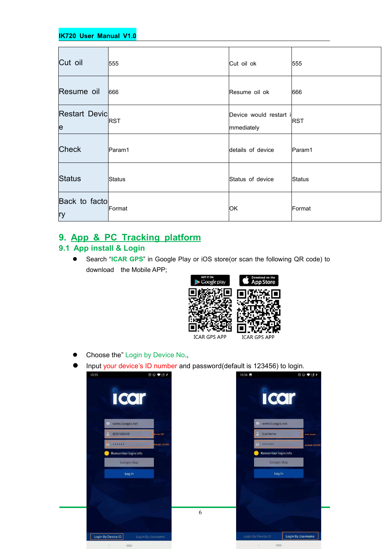#### **IK720 User Manual V1.0**

| Cut oil                    | 555        | Cut oil ok                           | 555        |
|----------------------------|------------|--------------------------------------|------------|
| Resume oil                 | 666        | Resume oil ok                        | 666        |
| <b>Restart Devic</b><br>le | <b>RST</b> | Device would restart i<br>mmediately | <b>RST</b> |
| <b>Check</b>               | Param1     | details of device                    | Param1     |
| Status                     | Status     | Status of device                     | Status     |
| Back to facto<br>ry        | Format     | OK                                   | Format     |

#### **9. App & PC Tracking platform**

#### **9.1 App install & Login**

 Search "**ICAR GPS**" in Google Play or iOS store(or scan the following QR code) to download the Mobile APP;



- Choose the" Login by Device No.,
- Input your device's ID number and password(default is 123456) to login.

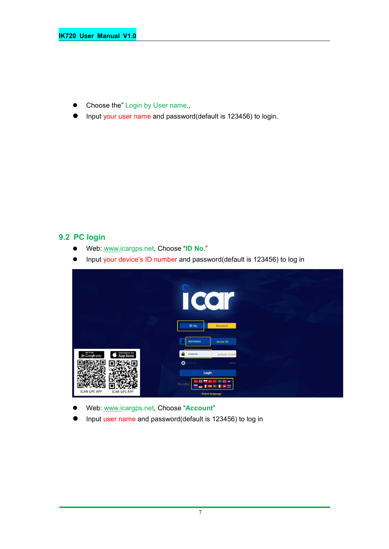- Choose the" Login by User name.,
- Input your user name and password(default is 123456) to login.

#### **9.2 PC login**

- Web: [www.ic](http://www.trackits.com)argps.net, Choose "**ID No**."
- Input your device's ID number and password(default is 123456) to log in



- Web: [www.ic](http://www.trackits.com)argps.net, Choose "**Account**"
- Input user name and password(default is 123456) to log in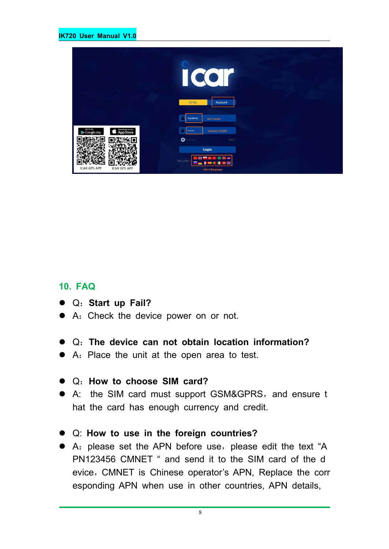|                                                          | $\bullet$<br>$\overline{\mathbf{C}}$<br>$\Box$<br>ID No.<br>Account |  |
|----------------------------------------------------------|---------------------------------------------------------------------|--|
|                                                          | icardemo<br>user name                                               |  |
| GET IT ON<br>Download on the<br>App Store<br>Google play | default 123456<br><br>$\bullet$<br>erenber<br>Demo                  |  |
| <b>ICAR GPS APP</b><br><b>ICAR GPS APP</b>               | Login<br>We offer<br>select language                                |  |

#### **10. FAQ**

- Q:**Start up Fail?**
- A:Check the device power on or not.
- Q:**The device can notobtain location information?**
- A: Place the unit at the open area to test.
- Q:**How to choose SIM card?**
- A: the SIM card must support GSM&GPRS, and ensure t hat the card has enough currency and credit.
- Q: **How to use in the foreign countries?**
- A: please set the APN before use, please edit the text "A PN123456 CMNET " and send it to the SIM card of the d evice, CMNET is Chinese operator's APN, Replace the corr esponding APN when use in other countries, APN details,